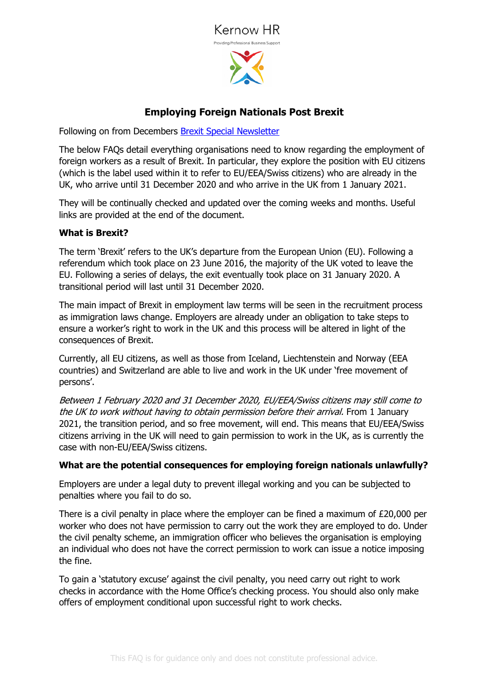



# **Employing Foreign Nationals Post Brexit**

Following on from Decembers **Brexit Special Newsletter** 

The below FAQs detail everything organisations need to know regarding the employment of foreign workers as a result of Brexit. In particular, they explore the position with EU citizens (which is the label used within it to refer to EU/EEA/Swiss citizens) who are already in the UK, who arrive until 31 December 2020 and who arrive in the UK from 1 January 2021.

They will be continually checked and updated over the coming weeks and months. Useful links are provided at the end of the document.

#### **What is Brexit?**

The term 'Brexit' refers to the UK's departure from the European Union (EU). Following a referendum which took place on 23 June 2016, the majority of the UK voted to leave the EU. Following a series of delays, the exit eventually took place on 31 January 2020. A transitional period will last until 31 December 2020.

The main impact of Brexit in employment law terms will be seen in the recruitment process as immigration laws change. Employers are already under an obligation to take steps to ensure a worker's right to work in the UK and this process will be altered in light of the consequences of Brexit.

Currently, all EU citizens, as well as those from Iceland, Liechtenstein and Norway (EEA countries) and Switzerland are able to live and work in the UK under 'free movement of persons'.

Between 1 February 2020 and 31 December 2020, EU/EEA/Swiss citizens may still come to the UK to work without having to obtain permission before their arrival. From 1 January 2021, the transition period, and so free movement, will end. This means that EU/EEA/Swiss citizens arriving in the UK will need to gain permission to work in the UK, as is currently the case with non-EU/EEA/Swiss citizens.

## **What are the potential consequences for employing foreign nationals unlawfully?**

Employers are under a legal duty to prevent illegal working and you can be subjected to penalties where you fail to do so.

There is a civil penalty in place where the employer can be fined a maximum of £20,000 per worker who does not have permission to carry out the work they are employed to do. Under the civil penalty scheme, an immigration officer who believes the organisation is employing an individual who does not have the correct permission to work can issue a notice imposing the fine.

To gain a 'statutory excuse' against the civil penalty, you need carry out right to work checks in accordance with the Home Office's checking process. You should also only make offers of employment conditional upon successful right to work checks.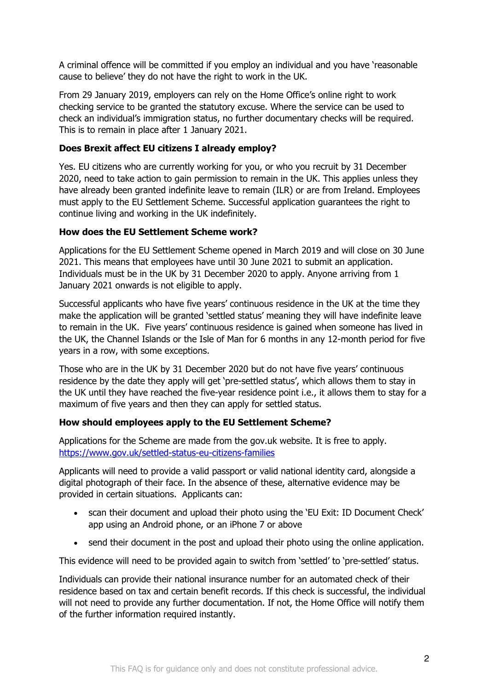A criminal offence will be committed if you employ an individual and you have 'reasonable cause to believe' they do not have the right to work in the UK.

From 29 January 2019, employers can rely on the Home Office's online right to work checking service to be granted the statutory excuse. Where the service can be used to check an individual's immigration status, no further documentary checks will be required. This is to remain in place after 1 January 2021.

# **Does Brexit affect EU citizens I already employ?**

Yes. EU citizens who are currently working for you, or who you recruit by 31 December 2020, need to take action to gain permission to remain in the UK. This applies unless they have already been granted indefinite leave to remain (ILR) or are from Ireland. Employees must apply to the EU Settlement Scheme. Successful application guarantees the right to continue living and working in the UK indefinitely.

# **How does the EU Settlement Scheme work?**

Applications for the EU Settlement Scheme opened in March 2019 and will close on 30 June 2021. This means that employees have until 30 June 2021 to submit an application. Individuals must be in the UK by 31 December 2020 to apply. Anyone arriving from 1 January 2021 onwards is not eligible to apply.

Successful applicants who have five years' continuous residence in the UK at the time they make the application will be granted 'settled status' meaning they will have indefinite leave to remain in the UK. Five years' continuous residence is gained when someone has lived in the UK, the Channel Islands or the Isle of Man for 6 months in any 12-month period for five years in a row, with some exceptions.

Those who are in the UK by 31 December 2020 but do not have five years' continuous residence by the date they apply will get 'pre-settled status', which allows them to stay in the UK until they have reached the five-year residence point i.e., it allows them to stay for a maximum of five years and then they can apply for settled status.

# **How should employees apply to the EU Settlement Scheme?**

Applications for the Scheme are made from the gov.uk website. It is free to apply. https://www.gov.uk/settled-status-eu-citizens-families

Applicants will need to provide a valid passport or valid national identity card, alongside a digital photograph of their face. In the absence of these, alternative evidence may be provided in certain situations. Applicants can:

- scan their document and upload their photo using the 'EU Exit: ID Document Check' app using an Android phone, or an iPhone 7 or above
- send their document in the post and upload their photo using the online application.

This evidence will need to be provided again to switch from 'settled' to 'pre-settled' status.

Individuals can provide their national insurance number for an automated check of their residence based on tax and certain benefit records. If this check is successful, the individual will not need to provide any further documentation. If not, the Home Office will notify them of the further information required instantly.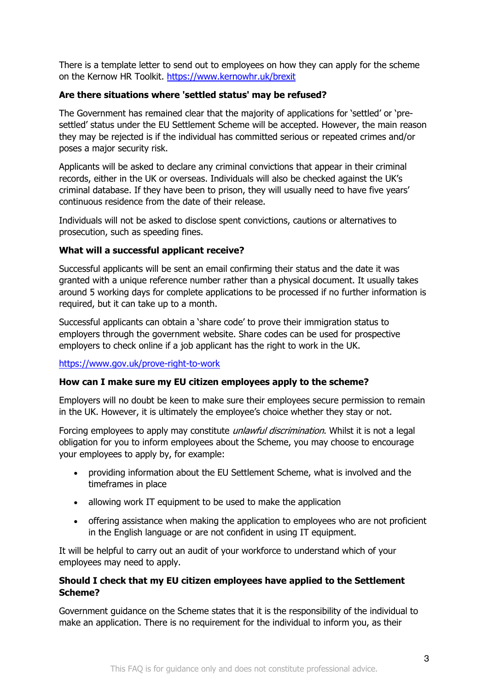There is a template letter to send out to employees on how they can apply for the scheme on the Kernow HR Toolkit. https://www.kernowhr.uk/brexit

#### **Are there situations where 'settled status' may be refused?**

The Government has remained clear that the majority of applications for 'settled' or 'presettled' status under the EU Settlement Scheme will be accepted. However, the main reason they may be rejected is if the individual has committed serious or repeated crimes and/or poses a major security risk.

Applicants will be asked to declare any criminal convictions that appear in their criminal records, either in the UK or overseas. Individuals will also be checked against the UK's criminal database. If they have been to prison, they will usually need to have five years' continuous residence from the date of their release.

Individuals will not be asked to disclose spent convictions, cautions or alternatives to prosecution, such as speeding fines.

#### **What will a successful applicant receive?**

Successful applicants will be sent an email confirming their status and the date it was granted with a unique reference number rather than a physical document. It usually takes around 5 working days for complete applications to be processed if no further information is required, but it can take up to a month.

Successful applicants can obtain a 'share code' to prove their immigration status to employers through the government website. Share codes can be used for prospective employers to check online if a job applicant has the right to work in the UK.

#### https://www.gov.uk/prove-right-to-work

#### **How can I make sure my EU citizen employees apply to the scheme?**

Employers will no doubt be keen to make sure their employees secure permission to remain in the UK. However, it is ultimately the employee's choice whether they stay or not.

Forcing employees to apply may constitute *unlawful discrimination*. Whilst it is not a legal obligation for you to inform employees about the Scheme, you may choose to encourage your employees to apply by, for example:

- providing information about the EU Settlement Scheme, what is involved and the timeframes in place
- allowing work IT equipment to be used to make the application
- offering assistance when making the application to employees who are not proficient in the English language or are not confident in using IT equipment.

It will be helpful to carry out an audit of your workforce to understand which of your employees may need to apply.

#### **Should I check that my EU citizen employees have applied to the Settlement Scheme?**

Government guidance on the Scheme states that it is the responsibility of the individual to make an application. There is no requirement for the individual to inform you, as their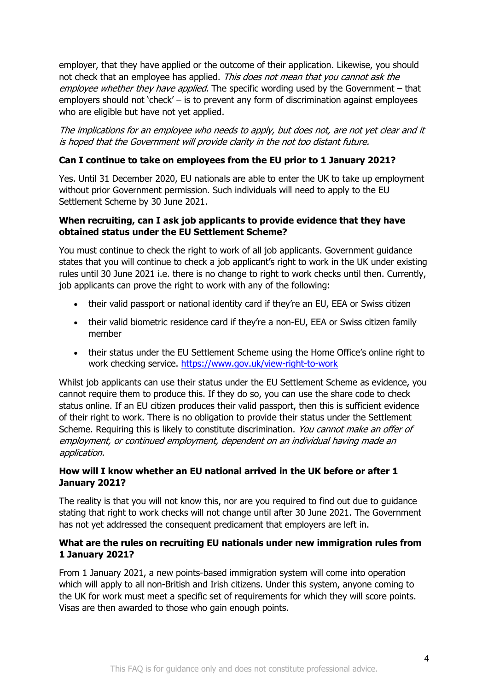employer, that they have applied or the outcome of their application. Likewise, you should not check that an employee has applied. This does not mean that you cannot ask the employee whether they have applied. The specific wording used by the Government – that employers should not 'check' – is to prevent any form of discrimination against employees who are eligible but have not yet applied.

The implications for an employee who needs to apply, but does not, are not yet clear and it is hoped that the Government will provide clarity in the not too distant future.

## **Can I continue to take on employees from the EU prior to 1 January 2021?**

Yes. Until 31 December 2020, EU nationals are able to enter the UK to take up employment without prior Government permission. Such individuals will need to apply to the EU Settlement Scheme by 30 June 2021.

#### **When recruiting, can I ask job applicants to provide evidence that they have obtained status under the EU Settlement Scheme?**

You must continue to check the right to work of all job applicants. Government guidance states that you will continue to check a job applicant's right to work in the UK under existing rules until 30 June 2021 i.e. there is no change to right to work checks until then. Currently, job applicants can prove the right to work with any of the following:

- their valid passport or national identity card if they're an EU, EEA or Swiss citizen
- their valid biometric residence card if they're a non-EU, EEA or Swiss citizen family member
- their status under the EU Settlement Scheme using the Home Office's online right to work checking service. https://www.gov.uk/view-right-to-work

Whilst job applicants can use their status under the EU Settlement Scheme as evidence, you cannot require them to produce this. If they do so, you can use the share code to check status online. If an EU citizen produces their valid passport, then this is sufficient evidence of their right to work. There is no obligation to provide their status under the Settlement Scheme. Requiring this is likely to constitute discrimination. You cannot make an offer of employment, or continued employment, dependent on an individual having made an application.

## **How will I know whether an EU national arrived in the UK before or after 1 January 2021?**

The reality is that you will not know this, nor are you required to find out due to guidance stating that right to work checks will not change until after 30 June 2021. The Government has not yet addressed the consequent predicament that employers are left in.

## **What are the rules on recruiting EU nationals under new immigration rules from 1 January 2021?**

From 1 January 2021, a new points-based immigration system will come into operation which will apply to all non-British and Irish citizens. Under this system, anyone coming to the UK for work must meet a specific set of requirements for which they will score points. Visas are then awarded to those who gain enough points.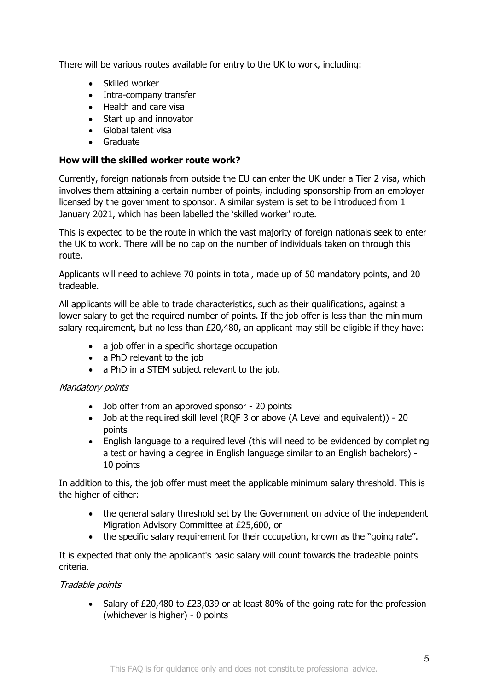There will be various routes available for entry to the UK to work, including:

- Skilled worker
- Intra-company transfer
- Health and care visa
- Start up and innovator
- Global talent visa
- Graduate

## **How will the skilled worker route work?**

Currently, foreign nationals from outside the EU can enter the UK under a Tier 2 visa, which involves them attaining a certain number of points, including sponsorship from an employer licensed by the government to sponsor. A similar system is set to be introduced from 1 January 2021, which has been labelled the 'skilled worker' route.

This is expected to be the route in which the vast majority of foreign nationals seek to enter the UK to work. There will be no cap on the number of individuals taken on through this route.

Applicants will need to achieve 70 points in total, made up of 50 mandatory points, and 20 tradeable.

All applicants will be able to trade characteristics, such as their qualifications, against a lower salary to get the required number of points. If the job offer is less than the minimum salary requirement, but no less than £20,480, an applicant may still be eligible if they have:

- a job offer in a specific shortage occupation
- a PhD relevant to the job
- a PhD in a STEM subject relevant to the job.

## Mandatory points

- Job offer from an approved sponsor 20 points
- Job at the required skill level (RQF 3 or above (A Level and equivalent)) 20 points
- English language to a required level (this will need to be evidenced by completing a test or having a degree in English language similar to an English bachelors) - 10 points

In addition to this, the job offer must meet the applicable minimum salary threshold. This is the higher of either:

- the general salary threshold set by the Government on advice of the independent Migration Advisory Committee at £25,600, or
- the specific salary requirement for their occupation, known as the "going rate".

It is expected that only the applicant's basic salary will count towards the tradeable points criteria.

## Tradable points

• Salary of £20,480 to £23,039 or at least 80% of the going rate for the profession (whichever is higher) - 0 points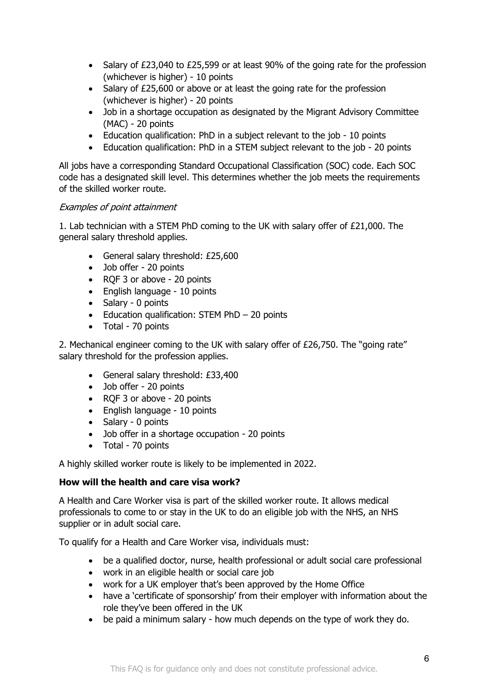- Salary of £23,040 to £25,599 or at least 90% of the going rate for the profession (whichever is higher) - 10 points
- Salary of £25,600 or above or at least the going rate for the profession (whichever is higher) - 20 points
- Job in a shortage occupation as designated by the Migrant Advisory Committee (MAC) - 20 points
- Education qualification: PhD in a subject relevant to the job 10 points
- Education qualification: PhD in a STEM subject relevant to the job 20 points

All jobs have a corresponding Standard Occupational Classification (SOC) code. Each SOC code has a designated skill level. This determines whether the job meets the requirements of the skilled worker route.

## Examples of point attainment

1. Lab technician with a STEM PhD coming to the UK with salary offer of £21,000. The general salary threshold applies.

- General salary threshold: £25,600
- Job offer 20 points
- RQF 3 or above 20 points
- English language 10 points
- Salary 0 points
- Education qualification: STEM PhD 20 points
- Total 70 points

2. Mechanical engineer coming to the UK with salary offer of £26,750. The "going rate" salary threshold for the profession applies.

- General salary threshold: £33,400
- Job offer 20 points
- RQF 3 or above 20 points
- English language 10 points
- Salary 0 points
- Job offer in a shortage occupation 20 points
- Total 70 points

A highly skilled worker route is likely to be implemented in 2022.

#### **How will the health and care visa work?**

A Health and Care Worker visa is part of the skilled worker route. It allows medical professionals to come to or stay in the UK to do an eligible job with the NHS, an NHS supplier or in adult social care.

To qualify for a Health and Care Worker visa, individuals must:

- be a qualified doctor, nurse, health professional or adult social care professional
- work in an eligible health or social care job
- work for a UK employer that's been approved by the Home Office
- have a 'certificate of sponsorship' from their employer with information about the role they've been offered in the UK
- be paid a minimum salary how much depends on the type of work they do.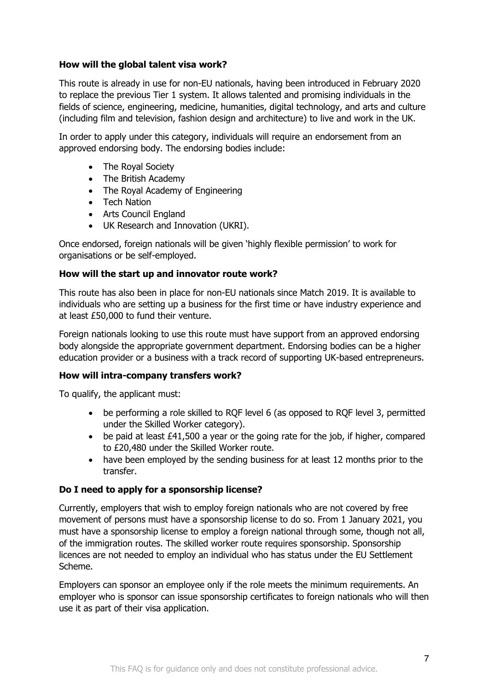## **How will the global talent visa work?**

This route is already in use for non-EU nationals, having been introduced in February 2020 to replace the previous Tier 1 system. It allows talented and promising individuals in the fields of science, engineering, medicine, humanities, digital technology, and arts and culture (including film and television, fashion design and architecture) to live and work in the UK.

In order to apply under this category, individuals will require an endorsement from an approved endorsing body. The endorsing bodies include:

- The Royal Society
- The British Academy
- The Royal Academy of Engineering
- Tech Nation
- Arts Council England
- UK Research and Innovation (UKRI).

Once endorsed, foreign nationals will be given 'highly flexible permission' to work for organisations or be self-employed.

#### **How will the start up and innovator route work?**

This route has also been in place for non-EU nationals since Match 2019. It is available to individuals who are setting up a business for the first time or have industry experience and at least £50,000 to fund their venture.

Foreign nationals looking to use this route must have support from an approved endorsing body alongside the appropriate government department. Endorsing bodies can be a higher education provider or a business with a track record of supporting UK-based entrepreneurs.

#### **How will intra-company transfers work?**

To qualify, the applicant must:

- be performing a role skilled to RQF level 6 (as opposed to RQF level 3, permitted under the Skilled Worker category).
- be paid at least £41,500 a year or the going rate for the job, if higher, compared to £20,480 under the Skilled Worker route.
- have been employed by the sending business for at least 12 months prior to the transfer.

## **Do I need to apply for a sponsorship license?**

Currently, employers that wish to employ foreign nationals who are not covered by free movement of persons must have a sponsorship license to do so. From 1 January 2021, you must have a sponsorship license to employ a foreign national through some, though not all, of the immigration routes. The skilled worker route requires sponsorship. Sponsorship licences are not needed to employ an individual who has status under the EU Settlement Scheme.

Employers can sponsor an employee only if the role meets the minimum requirements. An employer who is sponsor can issue sponsorship certificates to foreign nationals who will then use it as part of their visa application.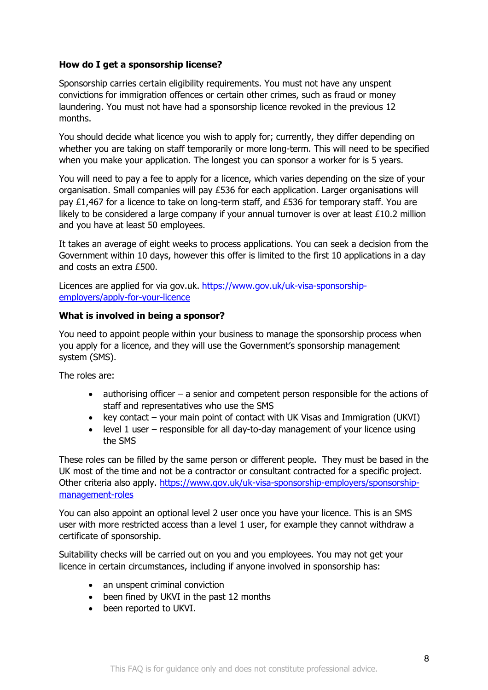#### **How do I get a sponsorship license?**

Sponsorship carries certain eligibility requirements. You must not have any unspent convictions for immigration offences or certain other crimes, such as fraud or money laundering. You must not have had a sponsorship licence revoked in the previous 12 months.

You should decide what licence you wish to apply for; currently, they differ depending on whether you are taking on staff temporarily or more long-term. This will need to be specified when you make your application. The longest you can sponsor a worker for is 5 years.

You will need to pay a fee to apply for a licence, which varies depending on the size of your organisation. Small companies will pay £536 for each application. Larger organisations will pay £1,467 for a licence to take on long-term staff, and £536 for temporary staff. You are likely to be considered a large company if your annual turnover is over at least £10.2 million and you have at least 50 employees.

It takes an average of eight weeks to process applications. You can seek a decision from the Government within 10 days, however this offer is limited to the first 10 applications in a day and costs an extra £500.

Licences are applied for via gov.uk. https://www.gov.uk/uk-visa-sponsorshipemployers/apply-for-your-licence

#### **What is involved in being a sponsor?**

You need to appoint people within your business to manage the sponsorship process when you apply for a licence, and they will use the Government's sponsorship management system (SMS).

The roles are:

- authorising officer a senior and competent person responsible for the actions of staff and representatives who use the SMS
- key contact your main point of contact with UK Visas and Immigration (UKVI)
- level 1 user responsible for all day-to-day management of your licence using the SMS

These roles can be filled by the same person or different people. They must be based in the UK most of the time and not be a contractor or consultant contracted for a specific project. Other criteria also apply. https://www.gov.uk/uk-visa-sponsorship-employers/sponsorshipmanagement-roles

You can also appoint an optional level 2 user once you have your licence. This is an SMS user with more restricted access than a level 1 user, for example they cannot withdraw a certificate of sponsorship.

Suitability checks will be carried out on you and you employees. You may not get your licence in certain circumstances, including if anyone involved in sponsorship has:

- an unspent criminal conviction
- been fined by UKVI in the past 12 months
- been reported to UKVI.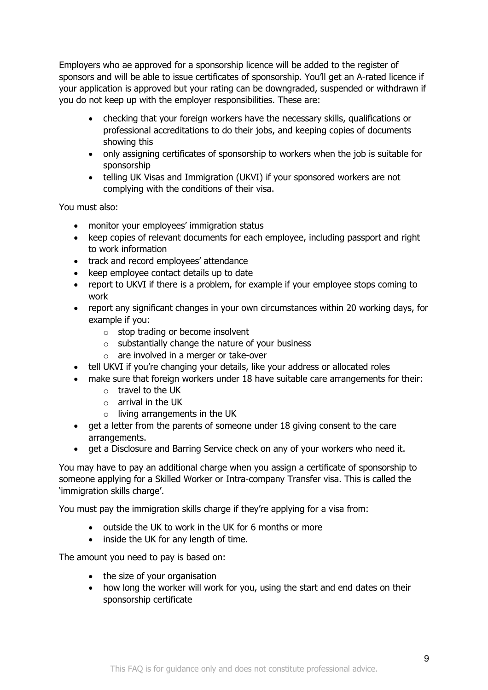Employers who ae approved for a sponsorship licence will be added to the register of sponsors and will be able to issue certificates of sponsorship. You'll get an A-rated licence if your application is approved but your rating can be downgraded, suspended or withdrawn if you do not keep up with the employer responsibilities. These are:

- checking that your foreign workers have the necessary skills, qualifications or professional accreditations to do their jobs, and keeping copies of documents showing this
- only assigning certificates of sponsorship to workers when the job is suitable for sponsorship
- telling UK Visas and Immigration (UKVI) if your sponsored workers are not complying with the conditions of their visa.

You must also:

- monitor your employees' immigration status
- keep copies of relevant documents for each employee, including passport and right to work information
- track and record employees' attendance
- keep employee contact details up to date
- report to UKVI if there is a problem, for example if your employee stops coming to work
- report any significant changes in your own circumstances within 20 working days, for example if you:
	- $\circ$  stop trading or become insolvent
	- $\circ$  substantially change the nature of your business
	- o are involved in a merger or take-over
- tell UKVI if you're changing your details, like your address or allocated roles
- make sure that foreign workers under 18 have suitable care arrangements for their:
	- o travel to the UK
	- $\circ$  arrival in the UK
	- $\circ$  living arrangements in the UK
- get a letter from the parents of someone under 18 giving consent to the care arrangements.
- get a Disclosure and Barring Service check on any of your workers who need it.

You may have to pay an additional charge when you assign a certificate of sponsorship to someone applying for a Skilled Worker or Intra-company Transfer visa. This is called the 'immigration skills charge'.

You must pay the immigration skills charge if they're applying for a visa from:

- outside the UK to work in the UK for 6 months or more
- inside the UK for any length of time.

The amount you need to pay is based on:

- the size of your organisation
- how long the worker will work for you, using the start and end dates on their sponsorship certificate